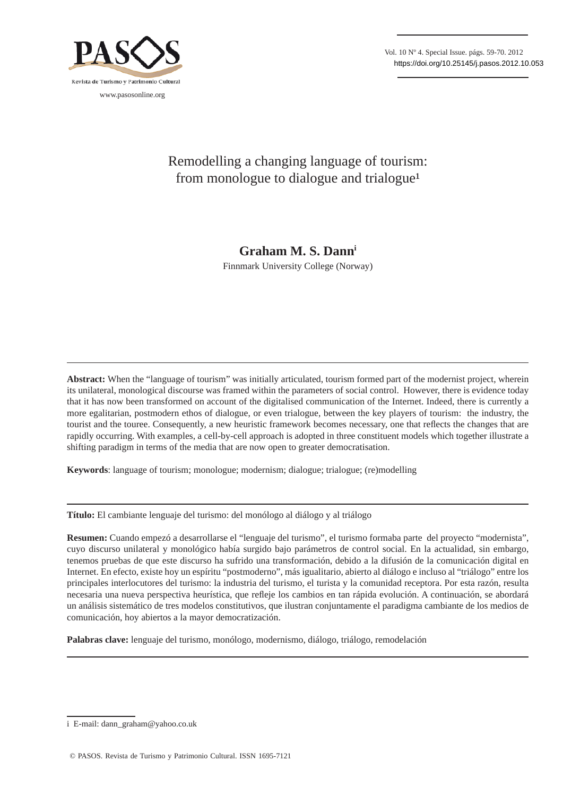Vol. 10 Nº 4. Special Issue. págs. 59-70. 2012 https://doi.org/10.25145/j.pasos.2012.10.053



# Remodelling a changing language of tourism: from monologue to dialogue and trialogue<sup>1</sup>

# **Graham M. S. Danni**

Finnmark University College (Norway)

**Abstract:** When the "language of tourism" was initially articulated, tourism formed part of the modernist project, wherein its unilateral, monological discourse was framed within the parameters of social control. However, there is evidence today that it has now been transformed on account of the digitalised communication of the Internet. Indeed, there is currently a more egalitarian, postmodern ethos of dialogue, or even trialogue, between the key players of tourism: the industry, the tourist and the touree. Consequently, a new heuristic framework becomes necessary, one that reflects the changes that are rapidly occurring. With examples, a cell-by-cell approach is adopted in three constituent models which together illustrate a shifting paradigm in terms of the media that are now open to greater democratisation.

**Keywords**: language of tourism; monologue; modernism; dialogue; trialogue; (re)modelling

**Título:** El cambiante lenguaje del turismo: del monólogo al diálogo y al triálogo

**Resumen:** Cuando empezó a desarrollarse el "lenguaje del turismo", el turismo formaba parte del proyecto "modernista", cuyo discurso unilateral y monológico había surgido bajo parámetros de control social. En la actualidad, sin embargo, tenemos pruebas de que este discurso ha sufrido una transformación, debido a la difusión de la comunicación digital en Internet. En efecto, existe hoy un espíritu "postmoderno", más igualitario, abierto al diálogo e incluso al "triálogo" entre los principales interlocutores del turismo: la industria del turismo, el turista y la comunidad receptora. Por esta razón, resulta necesaria una nueva perspectiva heurística, que refleje los cambios en tan rápida evolución. A continuación, se abordará un análisis sistemático de tres modelos constitutivos, que ilustran conjuntamente el paradigma cambiante de los medios de comunicación, hoy abiertos a la mayor democratización.

**Palabras clave:** lenguaje del turismo, monólogo, modernismo, diálogo, triálogo, remodelación

i E-mail: dann\_graham@yahoo.co.uk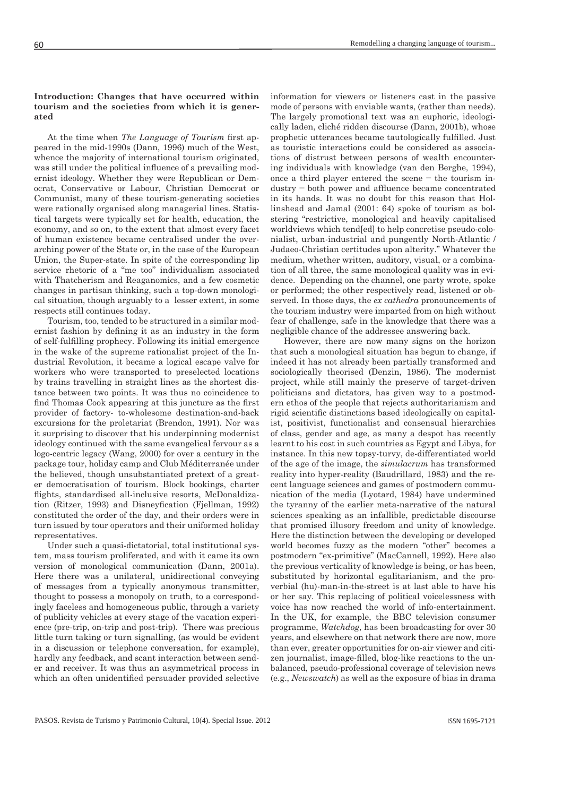## **Introduction: Changes that have occurred within tourism and the societies from which it is generated**

At the time when *The Language of Tourism* first appeared in the mid-1990s (Dann, 1996) much of the West, whence the majority of international tourism originated, was still under the political influence of a prevailing modernist ideology. Whether they were Republican or Democrat, Conservative or Labour, Christian Democrat or Communist, many of these tourism-generating societies were rationally organised along managerial lines. Statistical targets were typically set for health, education, the economy, and so on, to the extent that almost every facet of human existence became centralised under the overarching power of the State or, in the case of the European Union, the Super-state. In spite of the corresponding lip service rhetoric of a "me too" individualism associated with Thatcherism and Reaganomics, and a few cosmetic changes in partisan thinking, such a top-down monological situation, though arguably to a lesser extent, in some respects still continues today.

Tourism, too, tended to be structured in a similar modernist fashion by defining it as an industry in the form of self-fulfilling prophecy. Following its initial emergence in the wake of the supreme rationalist project of the Industrial Revolution, it became a logical escape valve for workers who were transported to preselected locations by trains travelling in straight lines as the shortest distance between two points. It was thus no coincidence to find Thomas Cook appearing at this juncture as the first provider of factory- to-wholesome destination-and-back excursions for the proletariat (Brendon, 1991). Nor was it surprising to discover that his underpinning modernist ideology continued with the same evangelical fervour as a logo-centric legacy (Wang, 2000) for over a century in the package tour, holiday camp and Club Méditerranée under the believed, though unsubstantiated pretext of a greater democratisation of tourism. Block bookings, charter flights, standardised all-inclusive resorts, McDonaldization (Ritzer, 1993) and Disneyfication (Fjellman, 1992) constituted the order of the day, and their orders were in turn issued by tour operators and their uniformed holiday representatives.

Under such a quasi-dictatorial, total institutional system, mass tourism proliferated, and with it came its own version of monological communication (Dann, 2001a). Here there was a unilateral, unidirectional conveying of messages from a typically anonymous transmitter, thought to possess a monopoly on truth, to a correspondingly faceless and homogeneous public, through a variety of publicity vehicles at every stage of the vacation experience (pre-trip, on-trip and post-trip). There was precious little turn taking or turn signalling, (as would be evident in a discussion or telephone conversation, for example), hardly any feedback, and scant interaction between sender and receiver. It was thus an asymmetrical process in which an often unidentified persuader provided selective

information for viewers or listeners cast in the passive mode of persons with enviable wants, (rather than needs). The largely promotional text was an euphoric, ideologically laden, cliché ridden discourse (Dann, 2001b), whose prophetic utterances became tautologically fulfilled. Just as touristic interactions could be considered as associations of distrust between persons of wealth encountering individuals with knowledge (van den Berghe, 1994), once a third player entered the scene – the tourism in $dustry - both power and affineence became concentrated$ in its hands. It was no doubt for this reason that Hollinshead and Jamal (2001: 64) spoke of tourism as bolstering "restrictive, monological and heavily capitalised worldviews which tend[ed] to help concretise pseudo-colonialist, urban-industrial and pungently North-Atlantic / Judaeo-Christian certitudes upon alterity." Whatever the medium, whether written, auditory, visual, or a combination of all three, the same monological quality was in evidence. Depending on the channel, one party wrote, spoke or performed; the other respectively read, listened or observed. In those days, the *ex cathedra* pronouncements of the tourism industry were imparted from on high without fear of challenge, safe in the knowledge that there was a negligible chance of the addressee answering back.

However, there are now many signs on the horizon that such a monological situation has begun to change, if indeed it has not already been partially transformed and sociologically theorised (Denzin, 1986). The modernist project, while still mainly the preserve of target-driven politicians and dictators, has given way to a postmodern ethos of the people that rejects authoritarianism and rigid scientific distinctions based ideologically on capitalist, positivist, functionalist and consensual hierarchies of class, gender and age, as many a despot has recently learnt to his cost in such countries as Egypt and Libya, for instance. In this new topsy-turvy, de-differentiated world of the age of the image, the *simulacrum* has transformed reality into hyper-reality (Baudrillard, 1983) and the recent language sciences and games of postmodern communication of the media (Lyotard, 1984) have undermined the tyranny of the earlier meta-narrative of the natural sciences speaking as an infallible, predictable discourse that promised illusory freedom and unity of knowledge. Here the distinction between the developing or developed world becomes fuzzy as the modern "other" becomes a postmodern "ex-primitive" (MacCannell, 1992). Here also the previous verticality of knowledge is being, or has been, substituted by horizontal egalitarianism, and the proverbial (hu)-man-in-the-street is at last able to have his or her say. This replacing of political voicelessness with voice has now reached the world of info-entertainment. In the UK, for example, the BBC television consumer programme, *Watchdog*, has been broadcasting for over 30 years, and elsewhere on that network there are now, more than ever, greater opportunities for on-air viewer and citizen journalist, image-filled, blog-like reactions to the unbalanced, pseudo-professional coverage of television news (e.g., *Newswatch*) as well as the exposure of bias in drama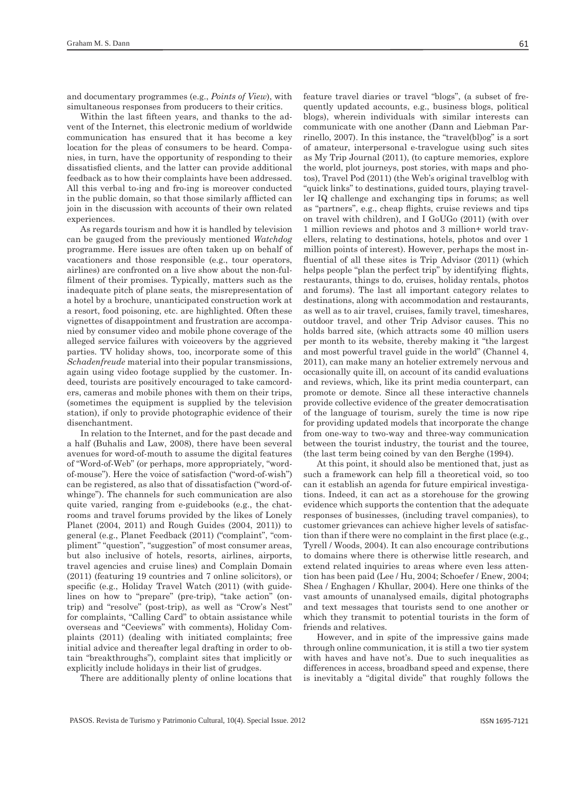and documentary programmes (e.g., *Points of View*), with simultaneous responses from producers to their critics.

Within the last fifteen years, and thanks to the advent of the Internet, this electronic medium of worldwide communication has ensured that it has become a key location for the pleas of consumers to be heard. Companies, in turn, have the opportunity of responding to their dissatisfied clients, and the latter can provide additional feedback as to how their complaints have been addressed. All this verbal to-ing and fro-ing is moreover conducted in the public domain, so that those similarly afflicted can join in the discussion with accounts of their own related experiences.

As regards tourism and how it is handled by television can be gauged from the previously mentioned *Watchdog* programme. Here issues are often taken up on behalf of vacationers and those responsible (e.g., tour operators, airlines) are confronted on a live show about the non-fulfilment of their promises. Typically, matters such as the inadequate pitch of plane seats, the misrepresentation of a hotel by a brochure, unanticipated construction work at a resort, food poisoning, etc. are highlighted. Often these vignettes of disappointment and frustration are accompanied by consumer video and mobile phone coverage of the alleged service failures with voiceovers by the aggrieved parties. TV holiday shows, too, incorporate some of this *Schadenfreude* material into their popular transmissions, again using video footage supplied by the customer. Indeed, tourists are positively encouraged to take camcorders, cameras and mobile phones with them on their trips, (sometimes the equipment is supplied by the television station), if only to provide photographic evidence of their disenchantment.

In relation to the Internet, and for the past decade and a half (Buhalis and Law, 2008), there have been several avenues for word-of-mouth to assume the digital features of "Word-of-Web" (or perhaps, more appropriately, "wordof-mouse"). Here the voice of satisfaction ("word-of-wish") can be registered, as also that of dissatisfaction ("word-ofwhinge"). The channels for such communication are also quite varied, ranging from e-guidebooks (e.g., the chatrooms and travel forums provided by the likes of Lonely Planet (2004, 2011) and Rough Guides (2004, 2011)) to general (e.g., Planet Feedback (2011) ("complaint", "compliment" "question", "suggestion" of most consumer areas, but also inclusive of hotels, resorts, airlines, airports, travel agencies and cruise lines) and Complain Domain (2011) (featuring 19 countries and 7 online solicitors), or specific (e.g., Holiday Travel Watch  $(2011)$  (with guidelines on how to "prepare" (pre-trip), "take action" (ontrip) and "resolve" (post-trip), as well as "Crow's Nest" for complaints, "Calling Card" to obtain assistance while overseas and "Ceeviews" with comments), Holiday Complaints (2011) (dealing with initiated complaints; free initial advice and thereafter legal drafting in order to obtain "breakthroughs"), complaint sites that implicitly or explicitly include holidays in their list of grudges.

There are additionally plenty of online locations that

feature travel diaries or travel "blogs", (a subset of frequently updated accounts, e.g., business blogs, political blogs), wherein individuals with similar interests can communicate with one another (Dann and Liebman Parrinello, 2007). In this instance, the "travel(bl)og" is a sort of amateur, interpersonal e-travelogue using such sites as My Trip Journal (2011), (to capture memories, explore the world, plot journeys, post stories, with maps and photos), Travel Pod (2011) (the Web's original travelblog with "quick links" to destinations, guided tours, playing traveller IQ challenge and exchanging tips in forums; as well as "partners", e.g., cheap flights, cruise reviews and tips on travel with children), and I GoUGo (2011) (with over 1 million reviews and photos and 3 million+ world travellers, relating to destinations, hotels, photos and over 1 million points of interest). However, perhaps the most influential of all these sites is Trip Advisor (2011) (which helps people "plan the perfect trip" by identifying flights, restaurants, things to do, cruises, holiday rentals, photos and forums). The last all important category relates to destinations, along with accommodation and restaurants, as well as to air travel, cruises, family travel, timeshares, outdoor travel, and other Trip Advisor causes. This no holds barred site, (which attracts some 40 million users per month to its website, thereby making it "the largest and most powerful travel guide in the world" (Channel 4, 2011), can make many an hotelier extremely nervous and occasionally quite ill, on account of its candid evaluations and reviews, which, like its print media counterpart, can promote or demote. Since all these interactive channels provide collective evidence of the greater democratisation of the language of tourism, surely the time is now ripe for providing updated models that incorporate the change from one-way to two-way and three-way communication between the tourist industry, the tourist and the touree, (the last term being coined by van den Berghe (1994).

At this point, it should also be mentioned that, just as such a framework can help fill a theoretical void, so too can it establish an agenda for future empirical investigations. Indeed, it can act as a storehouse for the growing evidence which supports the contention that the adequate responses of businesses, (including travel companies), to customer grievances can achieve higher levels of satisfaction than if there were no complaint in the first place (e.g., Tyrell / Woods, 2004). It can also encourage contributions to domains where there is otherwise little research, and extend related inquiries to areas where even less attention has been paid (Lee / Hu, 2004; Schoefer / Enew, 2004; Shea / Enghagen / Khullar, 2004). Here one thinks of the vast amounts of unanalysed emails, digital photographs and text messages that tourists send to one another or which they transmit to potential tourists in the form of friends and relatives.

However, and in spite of the impressive gains made through online communication, it is still a two tier system with haves and have not's. Due to such inequalities as differences in access, broadband speed and expense, there is inevitably a "digital divide" that roughly follows the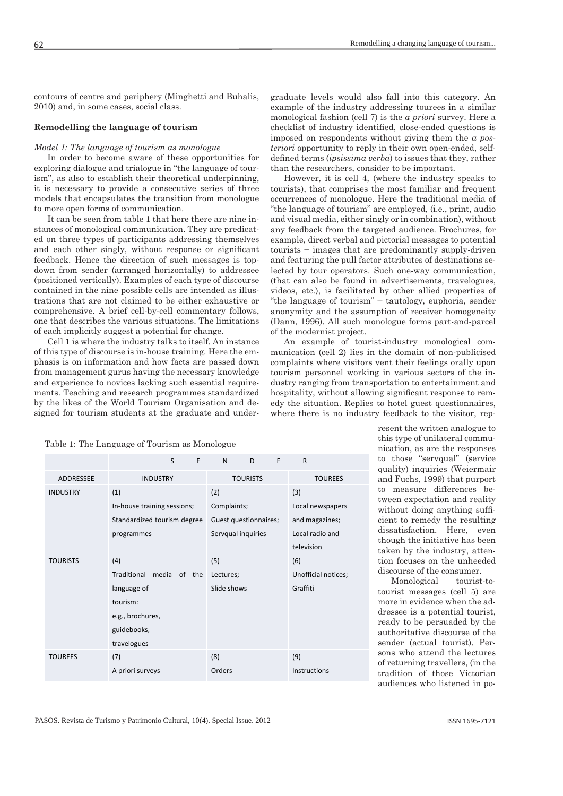contours of centre and periphery (Minghetti and Buhalis, 2010) and, in some cases, social class.

#### **Remodelling the language of tourism**

#### *Model 1: The language of tourism as monologue*

In order to become aware of these opportunities for exploring dialogue and trialogue in "the language of tourism", as also to establish their theoretical underpinning, it is necessary to provide a consecutive series of three models that encapsulates the transition from monologue to more open forms of communication.

It can be seen from table 1 that here there are nine instances of monological communication. They are predicated on three types of participants addressing themselves and each other singly, without response or significant feedback. Hence the direction of such messages is topdown from sender (arranged horizontally) to addressee (positioned vertically). Examples of each type of discourse contained in the nine possible cells are intended as illustrations that are not claimed to be either exhaustive or comprehensive. A brief cell-by-cell commentary follows, one that describes the various situations. The limitations of each implicitly suggest a potential for change.

Cell 1 is where the industry talks to itself. An instance of this type of discourse is in-house training. Here the emphasis is on information and how facts are passed down from management gurus having the necessary knowledge and experience to novices lacking such essential requirements. Teaching and research programmes standardized by the likes of the World Tourism Organisation and designed for tourism students at the graduate and undergraduate levels would also fall into this category. An example of the industry addressing tourees in a similar monological fashion (cell 7) is the *a priori* survey. Here a checklist of industry identified, close-ended questions is imposed on respondents without giving them the *a posteriori* opportunity to reply in their own open-ended, selfdefined terms *(ipsissima verba)* to issues that they, rather than the researchers, consider to be important.

However, it is cell 4, (where the industry speaks to tourists), that comprises the most familiar and frequent occurrences of monologue. Here the traditional media of "the language of tourism" are employed, (i.e., print, audio and visual media, either singly or in combination), without any feedback from the targeted audience. Brochures, for example, direct verbal and pictorial messages to potential tourists – images that are predominantly supply-driven and featuring the pull factor attributes of destinations selected by tour operators. Such one-way communication, (that can also be found in advertisements, travelogues, videos, etc.), is facilitated by other allied properties of "the language of tourism" – tautology, euphoria, sender anonymity and the assumption of receiver homogeneity (Dann, 1996). All such monologue forms part-and-parcel of the modernist project.

An example of tourist-industry monological communication (cell 2) lies in the domain of non-publicised complaints where visitors vent their feelings orally upon tourism personnel working in various sectors of the industry ranging from transportation to entertainment and hospitality, without allowing significant response to remedy the situation. Replies to hotel guest questionnaires, where there is no industry feedback to the visitor, rep-

> resent the written analogue to this type of unilateral communication, as are the responses to those "servqual" (service quality) inquiries (Weiermair and Fuchs, 1999) that purport to measure differences between expectation and reality without doing anything sufficient to remedy the resulting dissatisfaction. Here, even though the initiative has been taken by the industry, attention focuses on the unheeded discourse of the consumer.

> Monological tourist-totourist messages (cell 5) are more in evidence when the addressee is a potential tourist, ready to be persuaded by the authoritative discourse of the sender (actual tourist). Persons who attend the lectures of returning travellers, (in the tradition of those Victorian audiences who listened in po-

PASOS. Revista de Turismo y Patrimonio Cultural, 10(4). Special Issue. 2012

Table 1: The Language of Tourism as Monologue

|                  | S                           | E      | N                     | D               | F | $\mathsf{R}$        |  |
|------------------|-----------------------------|--------|-----------------------|-----------------|---|---------------------|--|
| <b>ADDRESSEE</b> | <b>INDUSTRY</b>             |        |                       | <b>TOURISTS</b> |   | <b>TOUREES</b>      |  |
| <b>INDUSTRY</b>  | (1)                         |        | (2)                   |                 |   | (3)                 |  |
|                  | In-house training sessions; |        | Complaints;           |                 |   | Local newspapers    |  |
|                  | Standardized tourism degree |        | Guest questionnaires; |                 |   | and magazines;      |  |
|                  | programmes                  |        | Servqual inquiries    |                 |   | Local radio and     |  |
|                  |                             |        |                       |                 |   | television          |  |
| <b>TOURISTS</b>  | (4)                         |        | (5)                   |                 |   | (6)                 |  |
|                  | Traditional<br>media        | of the | Lectures;             |                 |   | Unofficial notices; |  |
|                  | language of                 |        | Slide shows           |                 |   | Graffiti            |  |
|                  | tourism:                    |        |                       |                 |   |                     |  |
|                  | e.g., brochures,            |        |                       |                 |   |                     |  |
|                  | guidebooks,                 |        |                       |                 |   |                     |  |
|                  | travelogues                 |        |                       |                 |   |                     |  |
| <b>TOUREES</b>   | (7)                         |        | (8)                   |                 |   | (9)                 |  |
|                  | A priori surveys            |        | Orders                |                 |   | <b>Instructions</b> |  |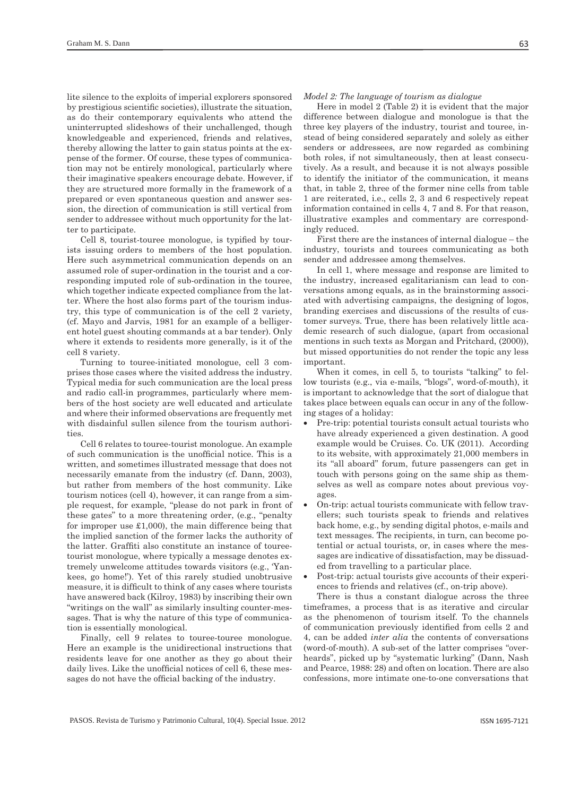lite silence to the exploits of imperial explorers sponsored by prestigious scientific societies), illustrate the situation, as do their contemporary equivalents who attend the uninterrupted slideshows of their unchallenged, though knowledgeable and experienced, friends and relatives, thereby allowing the latter to gain status points at the expense of the former. Of course, these types of communication may not be entirely monological, particularly where their imaginative speakers encourage debate. However, if they are structured more formally in the framework of a prepared or even spontaneous question and answer session, the direction of communication is still vertical from sender to addressee without much opportunity for the latter to participate.

Cell 8, tourist-touree monologue, is typified by tourists issuing orders to members of the host population. Here such asymmetrical communication depends on an assumed role of super-ordination in the tourist and a corresponding imputed role of sub-ordination in the touree, which together indicate expected compliance from the latter. Where the host also forms part of the tourism industry, this type of communication is of the cell 2 variety, (cf. Mayo and Jarvis, 1981 for an example of a belligerent hotel guest shouting commands at a bar tender). Only where it extends to residents more generally, is it of the cell 8 variety.

Turning to touree-initiated monologue, cell 3 comprises those cases where the visited address the industry. Typical media for such communication are the local press and radio call-in programmes, particularly where members of the host society are well educated and articulate and where their informed observations are frequently met with disdainful sullen silence from the tourism authorities.

Cell 6 relates to touree-tourist monologue. An example of such communication is the unofficial notice. This is a written, and sometimes illustrated message that does not necessarily emanate from the industry (cf. Dann, 2003), but rather from members of the host community. Like tourism notices (cell 4), however, it can range from a simple request, for example, "please do not park in front of these gates" to a more threatening order, (e.g., "penalty for improper use  $\pounds1,000$ , the main difference being that the implied sanction of the former lacks the authority of the latter. Graffiti also constitute an instance of toureetourist monologue, where typically a message denotes extremely unwelcome attitudes towards visitors (e.g., 'Yankees, go home!'). Yet of this rarely studied unobtrusive measure, it is difficult to think of any cases where tourists have answered back (Kilroy, 1983) by inscribing their own "writings on the wall" as similarly insulting counter-messages. That is why the nature of this type of communication is essentially monological.

Finally, cell 9 relates to touree-touree monologue. Here an example is the unidirectional instructions that residents leave for one another as they go about their daily lives. Like the unofficial notices of cell 6, these messages do not have the official backing of the industry.

#### *Model 2: The language of tourism as dialogue*

Here in model 2 (Table 2) it is evident that the major difference between dialogue and monologue is that the three key players of the industry, tourist and touree, instead of being considered separately and solely as either senders or addressees, are now regarded as combining both roles, if not simultaneously, then at least consecutively. As a result, and because it is not always possible to identify the initiator of the communication, it means that, in table 2, three of the former nine cells from table 1 are reiterated, i.e., cells 2, 3 and 6 respectively repeat information contained in cells 4, 7 and 8. For that reason, illustrative examples and commentary are correspondingly reduced.

First there are the instances of internal dialogue – the industry, tourists and tourees communicating as both sender and addressee among themselves.

In cell 1, where message and response are limited to the industry, increased egalitarianism can lead to conversations among equals, as in the brainstorming associated with advertising campaigns, the designing of logos, branding exercises and discussions of the results of customer surveys. True, there has been relatively little academic research of such dialogue, (apart from occasional mentions in such texts as Morgan and Pritchard, (2000)), but missed opportunities do not render the topic any less important.

When it comes, in cell 5, to tourists "talking" to fellow tourists (e.g., via e-mails, "blogs", word-of-mouth), it is important to acknowledge that the sort of dialogue that takes place between equals can occur in any of the following stages of a holiday:

- Pre-trip: potential tourists consult actual tourists who have already experienced a given destination. A good example would be Cruises. Co. UK (2011). According to its website, with approximately 21,000 members in its "all aboard" forum, future passengers can get in touch with persons going on the same ship as themselves as well as compare notes about previous voyages.
- On-trip: actual tourists communicate with fellow travellers; such tourists speak to friends and relatives back home, e.g., by sending digital photos, e-mails and text messages. The recipients, in turn, can become potential or actual tourists, or, in cases where the messages are indicative of dissatisfaction, may be dissuaded from travelling to a particular place.
- Post-trip: actual tourists give accounts of their experiences to friends and relatives (cf., on-trip above).

There is thus a constant dialogue across the three timeframes, a process that is as iterative and circular as the phenomenon of tourism itself. To the channels of communication previously identified from cells 2 and 4, can be added *inter alia* the contents of conversations (word-of-mouth). A sub-set of the latter comprises "overheards", picked up by "systematic lurking" (Dann, Nash and Pearce, 1988: 28) and often on location. There are also confessions, more intimate one-to-one conversations that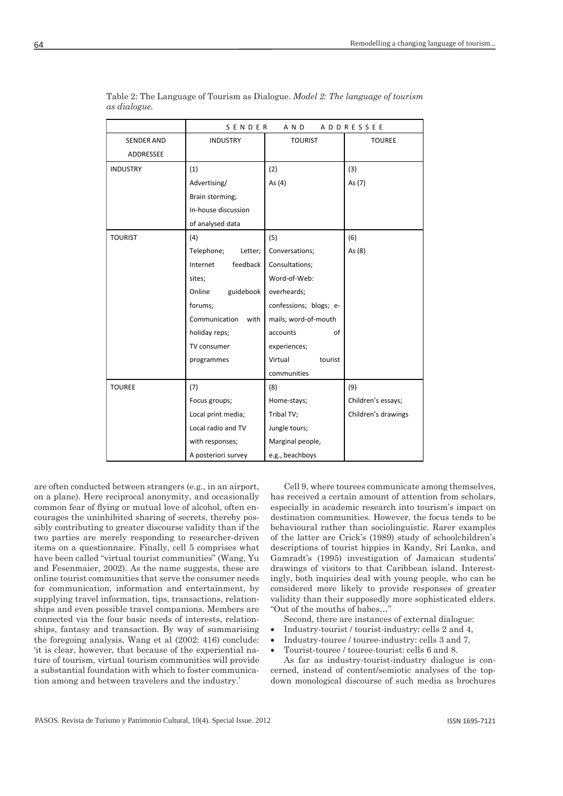64

|                   | SENDER<br>A N D<br>ADDRESSEE |                        |                     |  |
|-------------------|------------------------------|------------------------|---------------------|--|
| <b>SENDER AND</b> | <b>INDUSTRY</b>              | <b>TOURIST</b>         | <b>TOUREE</b>       |  |
| ADDRESSEE         |                              |                        |                     |  |
| <b>INDUSTRY</b>   | (1)                          | (2)                    | (3)                 |  |
|                   | Advertising/                 | As $(4)$               | As (7)              |  |
|                   | Brain storming;              |                        |                     |  |
|                   | In-house discussion          |                        |                     |  |
|                   | of analysed data             |                        |                     |  |
| <b>TOURIST</b>    | (4)                          | (5)                    | (6)                 |  |
|                   | Telephone;<br>Letter;        | Conversations;         | As $(8)$            |  |
|                   | feedback<br>Internet         | Consultations;         |                     |  |
|                   | sites;                       | Word-of-Web:           |                     |  |
|                   | guidebook<br>Online          | overheards;            |                     |  |
|                   | forums;                      | confessions; blogs; e- |                     |  |
|                   | Communication<br>with        | mails; word-of-mouth   |                     |  |
|                   | holiday reps;                | accounts<br>οf         |                     |  |
|                   | TV consumer                  | experiences;           |                     |  |
|                   | programmes                   | Virtual<br>tourist     |                     |  |
|                   |                              | communities            |                     |  |
| <b>TOUREE</b>     | (7)                          | (8)                    | (9)                 |  |
|                   | Focus groups;                | Home-stays;            | Children's essays;  |  |
|                   | Local print media;           | Tribal TV;             | Children's drawings |  |
|                   | Local radio and TV           | Jungle tours;          |                     |  |
|                   | with responses;              | Marginal people,       |                     |  |
|                   | A posteriori survey          | e.g., beachboys        |                     |  |

Table 2: The Language of Tourism as Dialogue. *Model 2: The language of tourism as dialogue.* 

are often conducted between strangers (e.g., in an airport, on a plane). Here reciprocal anonymity, and occasionally common fear of flying or mutual love of alcohol, often encourages the uninhibited sharing of secrets, thereby possibly contributing to greater discourse validity than if the two parties are merely responding to researcher-driven items on a questionnaire. Finally, cell 5 comprises what have been called "virtual tourist communities" (Wang, Yu and Fesenmaier, 2002). As the name suggests, these are online tourist communities that serve the consumer needs for communication, information and entertainment, by supplying travel information, tips, transactions, relationships and even possible travel companions. Members are connected via the four basic needs of interests, relationships, fantasy and transaction. By way of summarising the foregoing analysis, Wang et al (2002: 416) conclude: 'it is clear, however, that because of the experiential nature of tourism, virtual tourism communities will provide a substantial foundation with which to foster communication among and between travelers and the industry.'

Cell 9, where tourees communicate among themselves, has received a certain amount of attention from scholars, especially in academic research into tourism's impact on destination communities. However, the focus tends to be behavioural rather than sociolinguistic. Rarer examples of the latter are Crick's (1989) study of schoolchildren's descriptions of tourist hippies in Kandy, Sri Lanka, and Gamradt's (1995) investigation of Jamaican students' drawings of visitors to that Caribbean island. Interestingly, both inquiries deal with young people, who can be considered more likely to provide responses of greater validity than their supposedly more sophisticated elders. "Out of the mouths of babes…"

Second, there are instances of external dialogue:

- Industry-tourist / tourist-industry: cells 2 and 4.
- Industry-touree / touree-industry: cells 3 and 7,
- Tourist-touree / touree-tourist: cells 6 and 8.

As far as industry-tourist-industry dialogue is concerned, instead of content/semiotic analyses of the topdown monological discourse of such media as brochures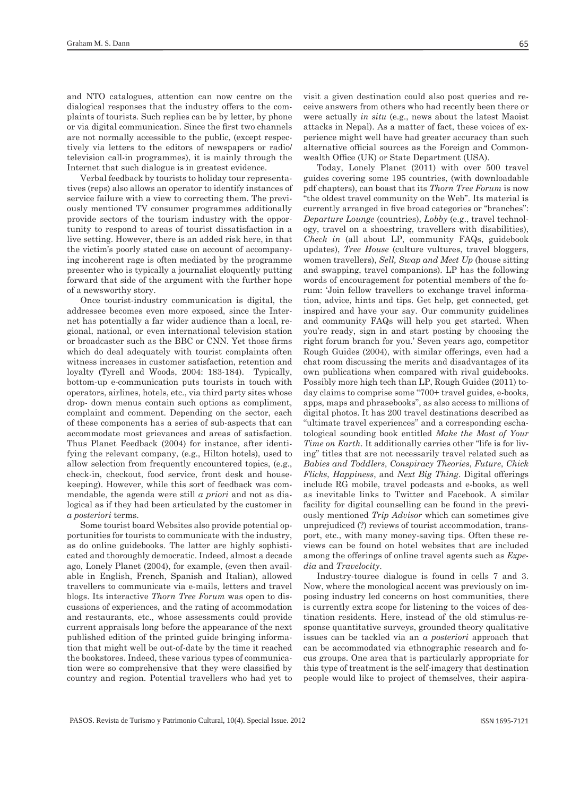and NTO catalogues, attention can now centre on the dialogical responses that the industry offers to the complaints of tourists. Such replies can be by letter, by phone or via digital communication. Since the first two channels are not normally accessible to the public, (except respectively via letters to the editors of newspapers or radio/ television call-in programmes), it is mainly through the Internet that such dialogue is in greatest evidence.

Verbal feedback by tourists to holiday tour representatives (reps) also allows an operator to identify instances of service failure with a view to correcting them. The previously mentioned TV consumer programmes additionally provide sectors of the tourism industry with the opportunity to respond to areas of tourist dissatisfaction in a live setting. However, there is an added risk here, in that the victim's poorly stated case on account of accompanying incoherent rage is often mediated by the programme presenter who is typically a journalist eloquently putting forward that side of the argument with the further hope of a newsworthy story.

Once tourist-industry communication is digital, the addressee becomes even more exposed, since the Internet has potentially a far wider audience than a local, regional, national, or even international television station or broadcaster such as the BBC or CNN. Yet those firms which do deal adequately with tourist complaints often witness increases in customer satisfaction, retention and loyalty (Tyrell and Woods, 2004: 183-184). Typically, bottom-up e-communication puts tourists in touch with operators, airlines, hotels, etc., via third party sites whose drop- down menus contain such options as compliment, complaint and comment. Depending on the sector, each of these components has a series of sub-aspects that can accommodate most grievances and areas of satisfaction. Thus Planet Feedback (2004) for instance, after identifying the relevant company, (e.g., Hilton hotels), used to allow selection from frequently encountered topics, (e.g., check-in, checkout, food service, front desk and housekeeping). However, while this sort of feedback was commendable, the agenda were still *a priori* and not as dialogical as if they had been articulated by the customer in *a posteriori* terms.

Some tourist board Websites also provide potential opportunities for tourists to communicate with the industry, as do online guidebooks. The latter are highly sophisticated and thoroughly democratic. Indeed, almost a decade ago, Lonely Planet (2004), for example, (even then available in English, French, Spanish and Italian), allowed travellers to communicate via e-mails, letters and travel blogs. Its interactive *Thorn Tree Forum* was open to discussions of experiences, and the rating of accommodation and restaurants, etc., whose assessments could provide current appraisals long before the appearance of the next published edition of the printed guide bringing information that might well be out-of-date by the time it reached the bookstores. Indeed, these various types of communication were so comprehensive that they were classified by country and region. Potential travellers who had yet to visit a given destination could also post queries and receive answers from others who had recently been there or were actually *in situ* (e.g., news about the latest Maoist attacks in Nepal). As a matter of fact, these voices of experience might well have had greater accuracy than such alternative official sources as the Foreign and Commonwealth Office (UK) or State Department (USA).

Today, Lonely Planet (2011) with over 500 travel guides covering some 195 countries, (with downloadable pdf chapters), can boast that its *Thorn Tree Forum* is now "the oldest travel community on the Web". Its material is currently arranged in five broad categories or "branches": *Departure Lounge* (countries), *Lobby* (e.g., travel technology, travel on a shoestring, travellers with disabilities), *Check in* (all about LP, community FAQs, guidebook updates), *Tree House* (culture vultures, travel bloggers, women travellers), *Sell, Swap and Meet Up* (house sitting and swapping, travel companions). LP has the following words of encouragement for potential members of the forum: 'Join fellow travellers to exchange travel information, advice, hints and tips. Get help, get connected, get inspired and have your say. Our community guidelines and community FAQs will help you get started. When you're ready, sign in and start posting by choosing the right forum branch for you.' Seven years ago, competitor Rough Guides (2004), with similar offerings, even had a chat room discussing the merits and disadvantages of its own publications when compared with rival guidebooks. Possibly more high tech than LP, Rough Guides (2011) today claims to comprise some "700+ travel guides, e-books, apps, maps and phrasebooks", as also access to millions of digital photos. It has 200 travel destinations described as "ultimate travel experiences" and a corresponding eschatological sounding book entitled *Make the Most of Your Time on Earth*. It additionally carries other "life is for living" titles that are not necessarily travel related such as *Babies and Toddlers*, *Conspiracy Theories*, *Future*, *Chick Flicks*, *Happiness*, and *Next Big Thing*. Digital offerings include RG mobile, travel podcasts and e-books, as well as inevitable links to Twitter and Facebook. A similar facility for digital counselling can be found in the previously mentioned *Trip Advisor* which can sometimes give unprejudiced (?) reviews of tourist accommodation, transport, etc., with many money-saving tips. Often these reviews can be found on hotel websites that are included among the offerings of online travel agents such as *Expedia* and *Travelocity*.

Industry-touree dialogue is found in cells 7 and 3. Now, where the monological accent was previously on imposing industry led concerns on host communities, there is currently extra scope for listening to the voices of destination residents. Here, instead of the old stimulus-response quantitative surveys, grounded theory qualitative issues can be tackled via an *a posteriori* approach that can be accommodated via ethnographic research and focus groups. One area that is particularly appropriate for this type of treatment is the self-imagery that destination people would like to project of themselves, their aspira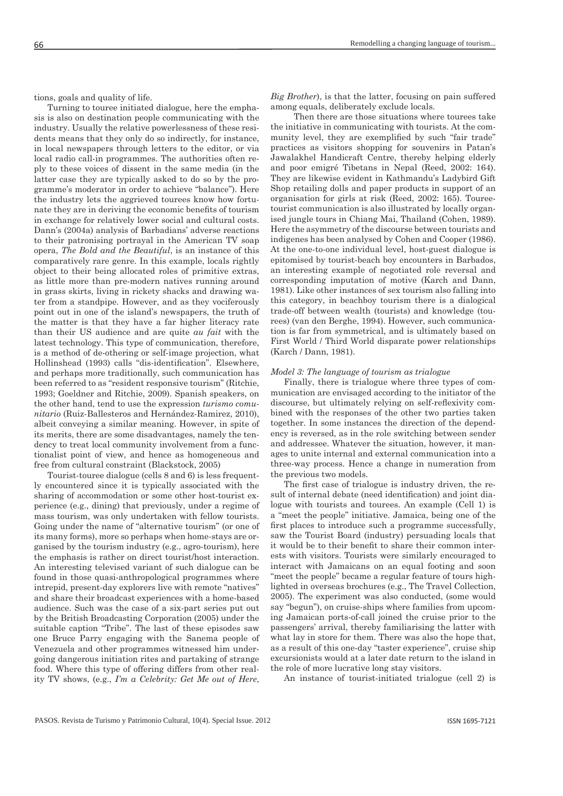tions, goals and quality of life.

Turning to touree initiated dialogue, here the emphasis is also on destination people communicating with the industry. Usually the relative powerlessness of these residents means that they only do so indirectly, for instance, in local newspapers through letters to the editor, or via local radio call-in programmes. The authorities often reply to these voices of dissent in the same media (in the latter case they are typically asked to do so by the programme's moderator in order to achieve "balance"). Here the industry lets the aggrieved tourees know how fortunate they are in deriving the economic benefits of tourism in exchange for relatively lower social and cultural costs. Dann's (2004a) analysis of Barbadians' adverse reactions to their patronising portrayal in the American TV soap opera, *The Bold and the Beautiful*, is an instance of this comparatively rare genre. In this example, locals rightly object to their being allocated roles of primitive extras, as little more than pre-modern natives running around in grass skirts, living in rickety shacks and drawing water from a standpipe. However, and as they vociferously point out in one of the island's newspapers, the truth of the matter is that they have a far higher literacy rate than their US audience and are quite *au fait* with the latest technology. This type of communication, therefore, is a method of de-othering or self-image projection, what Hollinshead (1993) calls "dis-identification". Elsewhere, and perhaps more traditionally, such communication has been referred to as "resident responsive tourism" (Ritchie, 1993; Goeldner and Ritchie, 2009). Spanish speakers, on the other hand, tend to use the expression *turismo comunitario* (Ruiz-Ballesteros and Hernández-Ramirez, 2010), albeit conveying a similar meaning. However, in spite of its merits, there are some disadvantages, namely the tendency to treat local community involvement from a functionalist point of view, and hence as homogeneous and free from cultural constraint (Blackstock, 2005)

Tourist-touree dialogue (cells 8 and 6) is less frequently encountered since it is typically associated with the sharing of accommodation or some other host-tourist experience (e.g., dining) that previously, under a regime of mass tourism, was only undertaken with fellow tourists. Going under the name of "alternative tourism" (or one of its many forms), more so perhaps when home-stays are organised by the tourism industry (e.g., agro-tourism), here the emphasis is rather on direct tourist/host interaction. An interesting televised variant of such dialogue can be found in those quasi-anthropological programmes where intrepid, present-day explorers live with remote "natives" and share their broadcast experiences with a home-based audience. Such was the case of a six-part series put out by the British Broadcasting Corporation (2005) under the suitable caption "Tribe". The last of these episodes saw one Bruce Parry engaging with the Sanema people of Venezuela and other programmes witnessed him undergoing dangerous initiation rites and partaking of strange food. Where this type of offering differs from other reality TV shows, (e.g., *I'm a Celebrity: Get Me out of Here*,

*Big Brother*), is that the latter, focusing on pain suffered among equals, deliberately exclude locals.

 Then there are those situations where tourees take the initiative in communicating with tourists. At the community level, they are exemplified by such "fair trade" practices as visitors shopping for souvenirs in Patan's Jawalakhel Handicraft Centre, thereby helping elderly and poor emigré Tibetans in Nepal (Reed, 2002: 164). They are likewise evident in Kathmandu's Ladybird Gift Shop retailing dolls and paper products in support of an organisation for girls at risk (Reed, 2002: 165). Toureetourist communication is also illustrated by locally organised jungle tours in Chiang Mai, Thailand (Cohen, 1989). Here the asymmetry of the discourse between tourists and indigenes has been analysed by Cohen and Cooper (1986). At the one-to-one individual level, host-guest dialogue is epitomised by tourist-beach boy encounters in Barbados, an interesting example of negotiated role reversal and corresponding imputation of motive (Karch and Dann, 1981). Like other instances of sex tourism also falling into this category, in beachboy tourism there is a dialogical trade-off between wealth (tourists) and knowledge (tourees) (van den Berghe, 1994). However, such communication is far from symmetrical, and is ultimately based on First World / Third World disparate power relationships (Karch / Dann, 1981).

# *Model 3: The language of tourism as trialogue*

Finally, there is trialogue where three types of communication are envisaged according to the initiator of the discourse, but ultimately relying on self-reflexivity combined with the responses of the other two parties taken together. In some instances the direction of the dependency is reversed, as in the role switching between sender and addressee. Whatever the situation, however, it manages to unite internal and external communication into a three-way process. Hence a change in numeration from the previous two models.

The first case of trialogue is industry driven, the result of internal debate (need identification) and joint dialogue with tourists and tourees. An example (Cell 1) is a "meet the people" initiative. Jamaica, being one of the first places to introduce such a programme successfully, saw the Tourist Board (industry) persuading locals that it would be to their benefit to share their common interests with visitors. Tourists were similarly encouraged to interact with Jamaicans on an equal footing and soon "meet the people" became a regular feature of tours highlighted in overseas brochures (e.g., The Travel Collection, 2005). The experiment was also conducted, (some would say "begun"), on cruise-ships where families from upcoming Jamaican ports-of-call joined the cruise prior to the passengers' arrival, thereby familiarising the latter with what lay in store for them. There was also the hope that, as a result of this one-day "taster experience", cruise ship excursionists would at a later date return to the island in the role of more lucrative long stay visitors.

An instance of tourist-initiated trialogue (cell 2) is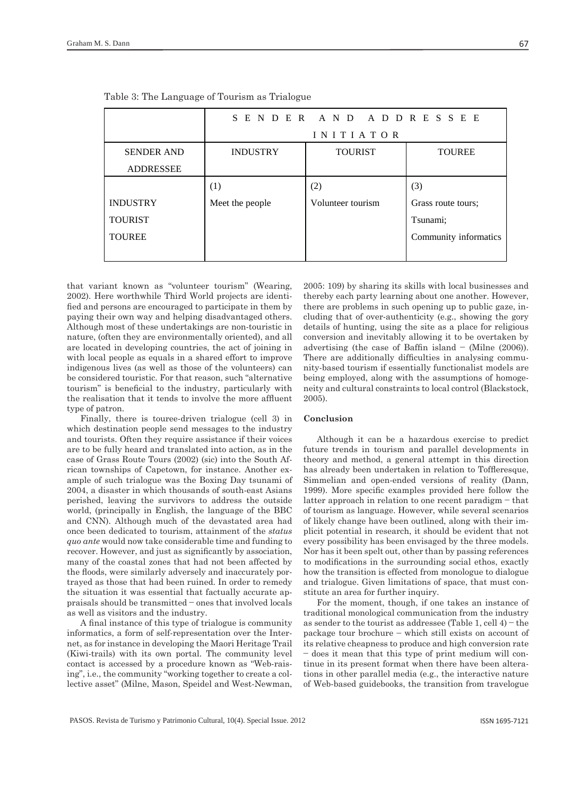|                   |                 | SENDER AND ADDRESSEE |                       |
|-------------------|-----------------|----------------------|-----------------------|
|                   |                 | INITIATOR            |                       |
| <b>SENDER AND</b> | <b>INDUSTRY</b> | <b>TOURIST</b>       | <b>TOUREE</b>         |
| <b>ADDRESSEE</b>  |                 |                      |                       |
|                   | (1)             | (2)                  | (3)                   |
| <b>INDUSTRY</b>   | Meet the people | Volunteer tourism    | Grass route tours;    |
| <b>TOURIST</b>    |                 |                      | Tsunami;              |
| <b>TOUREE</b>     |                 |                      | Community informatics |
|                   |                 |                      |                       |

Table 3: The Language of Tourism as Trialogue

that variant known as "volunteer tourism" (Wearing, 2002). Here worthwhile Third World projects are identified and persons are encouraged to participate in them by paying their own way and helping disadvantaged others. Although most of these undertakings are non-touristic in nature, (often they are environmentally oriented), and all are located in developing countries, the act of joining in with local people as equals in a shared effort to improve indigenous lives (as well as those of the volunteers) can be considered touristic. For that reason, such "alternative tourism" is beneficial to the industry, particularly with the realisation that it tends to involve the more affluent type of patron.

Finally, there is touree-driven trialogue (cell 3) in which destination people send messages to the industry and tourists. Often they require assistance if their voices are to be fully heard and translated into action, as in the case of Grass Route Tours (2002) (sic) into the South African townships of Capetown, for instance. Another example of such trialogue was the Boxing Day tsunami of 2004, a disaster in which thousands of south-east Asians perished, leaving the survivors to address the outside world, (principally in English, the language of the BBC and CNN). Although much of the devastated area had once been dedicated to tourism, attainment of the *status quo ante* would now take considerable time and funding to recover. However, and just as significantly by association, many of the coastal zones that had not been affected by the floods, were similarly adversely and inaccurately portrayed as those that had been ruined. In order to remedy the situation it was essential that factually accurate appraisals should be transmitted – ones that involved locals as well as visitors and the industry.

A final instance of this type of trialogue is community informatics, a form of self-representation over the Internet, as for instance in developing the Maori Heritage Trail (Kiwi-trails) with its own portal. The community level contact is accessed by a procedure known as "Web-raising", i.e., the community "working together to create a collective asset" (Milne, Mason, Speidel and West-Newman,

2005: 109) by sharing its skills with local businesses and thereby each party learning about one another. However, there are problems in such opening up to public gaze, including that of over-authenticity (e.g., showing the gory details of hunting, using the site as a place for religious conversion and inevitably allowing it to be overtaken by advertising (the case of Baffin island – (Milne  $(2006)$ ). There are additionally difficulties in analysing community-based tourism if essentially functionalist models are being employed, along with the assumptions of homogeneity and cultural constraints to local control (Blackstock, 2005).

## **Conclusion**

Although it can be a hazardous exercise to predict future trends in tourism and parallel developments in theory and method, a general attempt in this direction has already been undertaken in relation to Toffleresque, Simmelian and open-ended versions of reality (Dann, 1999). More specific examples provided here follow the latter approach in relation to one recent paradigm – that of tourism as language. However, while several scenarios of likely change have been outlined, along with their implicit potential in research, it should be evident that not every possibility has been envisaged by the three models. Nor has it been spelt out, other than by passing references to modifications in the surrounding social ethos, exactly how the transition is effected from monologue to dialogue and trialogue. Given limitations of space, that must constitute an area for further inquiry.

For the moment, though, if one takes an instance of traditional monological communication from the industry as sender to the tourist as addressee (Table 1, cell  $4$ ) – the package tour brochure – which still exists on account of its relative cheapness to produce and high conversion rate – does it mean that this type of print medium will continue in its present format when there have been alterations in other parallel media (e.g., the interactive nature of Web-based guidebooks, the transition from travelogue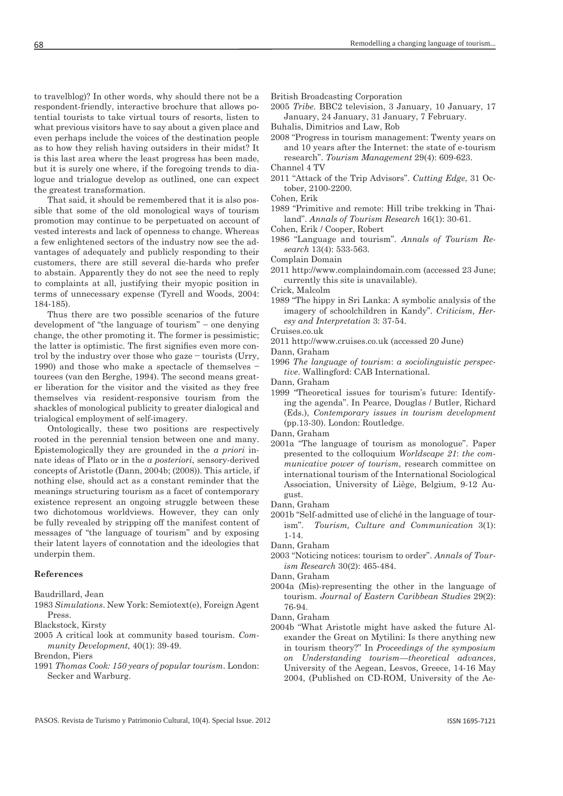to travelblog)? In other words, why should there not be a respondent-friendly, interactive brochure that allows potential tourists to take virtual tours of resorts, listen to what previous visitors have to say about a given place and even perhaps include the voices of the destination people as to how they relish having outsiders in their midst? It is this last area where the least progress has been made, but it is surely one where, if the foregoing trends to dialogue and trialogue develop as outlined, one can expect the greatest transformation.

That said, it should be remembered that it is also possible that some of the old monological ways of tourism promotion may continue to be perpetuated on account of vested interests and lack of openness to change. Whereas a few enlightened sectors of the industry now see the advantages of adequately and publicly responding to their customers, there are still several die-hards who prefer to abstain. Apparently they do not see the need to reply to complaints at all, justifying their myopic position in terms of unnecessary expense (Tyrell and Woods, 2004: 184-185).

Thus there are two possible scenarios of the future development of "the language of tourism" – one denying change, the other promoting it. The former is pessimistic; the latter is optimistic. The first signifies even more control by the industry over those who gaze – tourists (Urry, 1990) and those who make a spectacle of themselves – tourees (van den Berghe, 1994). The second means greater liberation for the visitor and the visited as they free themselves via resident-responsive tourism from the shackles of monological publicity to greater dialogical and trialogical employment of self-imagery.

Ontologically, these two positions are respectively rooted in the perennial tension between one and many. Epistemologically they are grounded in the *a priori* innate ideas of Plato or in the *a posteriori*, sensory-derived concepts of Aristotle (Dann, 2004b; (2008)). This article, if nothing else, should act as a constant reminder that the meanings structuring tourism as a facet of contemporary existence represent an ongoing struggle between these two dichotomous worldviews. However, they can only be fully revealed by stripping off the manifest content of messages of "the language of tourism" and by exposing their latent layers of connotation and the ideologies that underpin them.

#### **References**

- Baudrillard, Jean
- 1983 *Simulations*. New York: Semiotext(e), Foreign Agent Press.
- Blackstock, Kirsty
- 2005 A critical look at community based tourism. *Community Development,* 40(1): 39-49.

Brendon, Piers

1991 *Thomas Cook: 150 years of popular tourism*. London: Secker and Warburg.

- British Broadcasting Corporation
- 2005 *Tribe*. BBC2 television, 3 January, 10 January, 17 January, 24 January, 31 January, 7 February.
- Buhalis, Dimitrios and Law, Rob
- 2008 "Progress in tourism management: Twenty years on and 10 years after the Internet: the state of e-tourism research". *Tourism Management* 29(4): 609-623.
- Channel 4 TV
- 2011 "Attack of the Trip Advisors". *Cutting Edge*, 31 October, 2100-2200.
- Cohen, Erik
- 1989 "Primitive and remote: Hill tribe trekking in Thailand". *Annals of Tourism Research* 16(1): 30-61.
- Cohen, Erik / Cooper, Robert
- 1986 "Language and tourism". *Annals of Tourism Research* 13(4): 533-563.
- Complain Domain
- 2011 http://www.complaindomain.com (accessed 23 June; currently this site is unavailable).
- Crick, Malcolm
- 1989 "The hippy in Sri Lanka: A symbolic analysis of the imagery of schoolchildren in Kandy". *Criticism, Heresy and Interpretation* 3: 37-54.
- Cruises.co.uk
- 2011 http://www.cruises.co.uk (accessed 20 June)
- Dann, Graham
- 1996 *The language of tourism*: *a sociolinguistic perspective*. Wallingford: CAB International.
- Dann, Graham
- 1999 "Theoretical issues for tourism's future: Identifying the agenda". In Pearce, Douglas / Butler, Richard (Eds.), *Contemporary issues in tourism development* (pp.13-30). London: Routledge.

Dann, Graham

- 2001a "The language of tourism as monologue". Paper presented to the colloquium *Worldscape 21*: *the communicative power of tourism*, research committee on international tourism of the International Sociological Association, University of Liège, Belgium, 9-12 August.
- Dann, Graham
- 2001b "Self-admitted use of cliché in the language of tourism". *Tourism, Culture and Communication* 3(1): 1-14.
- Dann, Graham
- 2003 "Noticing notices: tourism to order". *Annals of Tourism Research* 30(2): 465-484.
- Dann, Graham
- 2004a (Mis)-representing the other in the language of tourism. *Journal of Eastern Caribbean Studies* 29(2): 76-94.
- Dann, Graham
- 2004b "What Aristotle might have asked the future Alexander the Great on Mytilini: Is there anything new in tourism theory?" In *Proceedings of the symposium on Understanding tourism—theoretical advances*, University of the Aegean, Lesvos, Greece, 14-16 May 2004, (Published on CD-ROM, University of the Ae-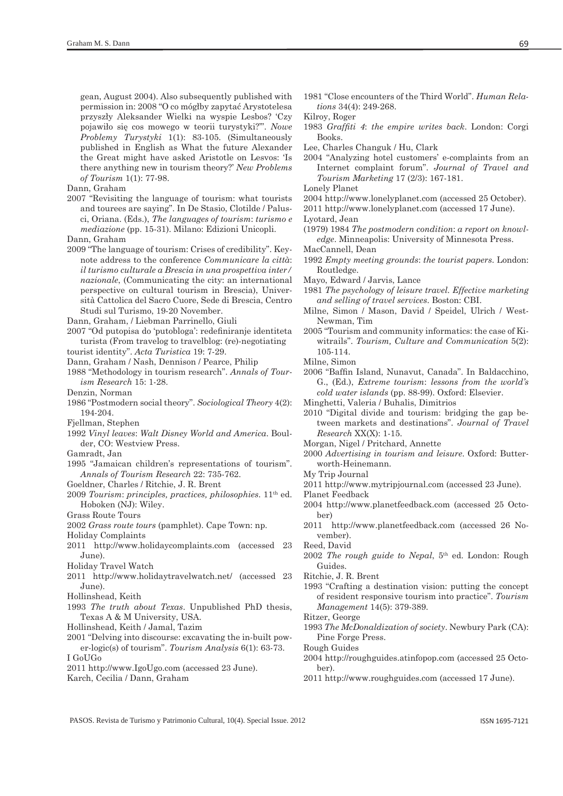gean, August 2004). Also subsequently published with permission in: 2008 "O co mógłby zapytać Arystotelesa przyszły Aleksander Wielki na wyspie Lesbos? 'Czy pojawiło się cos mowego w teorii turystyki?'". *Nowe Problemy Turystyki* 1(1): 83-105. (Simultaneously published in English as What the future Alexander the Great might have asked Aristotle on Lesvos: 'Is there anything new in tourism theory?' *New Problems of Tourism* 1(1): 77-98.

Dann, Graham

2007 "Revisiting the language of tourism: what tourists and tourees are saying". In De Stasio, Clotilde / Palusci, Oriana. (Eds.), *The languages of tourism*: *turismo e mediazione* (pp. 15-31). Milano: Edizioni Unicopli.

Dann, Graham

2009 "The language of tourism: Crises of credibility". Keynote address to the conference *Communicare la città*: *il turismo culturale a Brescia in una prospettiva inter/ nazionale*, (Communicating the city: an international perspective on cultural tourism in Brescia), Università Cattolica del Sacro Cuore, Sede di Brescia, Centro Studi sul Turismo, 19-20 November.

Dann, Graham, / Liebman Parrinello, Giuli

2007 "Od putopisa do 'putobloga': redefiniranje identiteta turista (From travelog to travelblog: (re)-negotiating

- tourist identity". *Acta Turistica* 19: 7-29.
- Dann, Graham / Nash, Dennison / Pearce, Philip
- 1988 "Methodology in tourism research". *Annals of Tourism Research* 15: 1-28.

Denzin, Norman

- 1986 "Postmodern social theory". *Sociological Theory* 4(2): 194-204.
- Fjellman, Stephen
- 1992 *Vinyl leaves*: *Walt Disney World and America*. Boulder, CO: Westview Press.
- Gamradt, Jan
- 1995 "Jamaican children's representations of tourism". *Annals of Tourism Research* 22: 735-762.
- Goeldner, Charles / Ritchie, J. R. Brent
- 2009 *Tourism*: *principles, practices, philosophies*. 11th ed. Hoboken (NJ): Wiley.

Grass Route Tours

- 2002 *Grass route tours* (pamphlet). Cape Town: np.
- Holiday Complaints
- 2011 http://www.holidaycomplaints.com (accessed 23 June).
- Holiday Travel Watch
- 2011 http://www.holidaytravelwatch.net/ (accessed 23 June).
- Hollinshead, Keith
- 1993 *The truth about Texas*. Unpublished PhD thesis, Texas A & M University, USA.
- Hollinshead, Keith / Jamal, Tazim
- 2001 "Delving into discourse: excavating the in-built power-logic(s) of tourism". *Tourism Analysis* 6(1): 63-73. I GoUGo
- 2011 http://www.IgoUgo.com (accessed 23 June).
- Karch, Cecilia / Dann, Graham
- 1981 "Close encounters of the Third World". *Human Relations* 34(4): 249-268.
- Kilroy, Roger
- 1983 *Graffiti 4: the empire writes back*. London: Corgi Books.
- Lee, Charles Changuk / Hu, Clark
- 2004 "Analyzing hotel customers' e-complaints from an Internet complaint forum". *Journal of Travel and Tourism Marketing* 17 (2/3): 167-181.
- Lonely Planet
- 2004 http://www.lonelyplanet.com (accessed 25 October).
- 2011 http://www.lonelyplanet.com (accessed 17 June).

Lyotard, Jean

- (1979) 1984 *The postmodern condition*: *a report on knowledge*. Minneapolis: University of Minnesota Press.
- MacCannell, Dean
- 1992 *Empty meeting grounds*: *the tourist papers*. London: Routledge.
- Mayo, Edward / Jarvis, Lance
- 1981 *The psychology of leisure travel. Effective marketing and selling of travel services*. Boston: CBI.
- Milne, Simon / Mason, David / Speidel, Ulrich / West-Newman, Tim
- 2005 "Tourism and community informatics: the case of Kiwitrails". *Tourism, Culture and Communication* 5(2): 105-114.
- Milne, Simon
- 2006 "Baffin Island, Nunavut, Canada". In Baldacchino, G., (Ed.), *Extreme tourism*: *lessons from the world's cold water islands* (pp. 88-99). Oxford: Elsevier.
- Minghetti, Valeria / Buhalis, Dimitrios
- 2010 "Digital divide and tourism: bridging the gap between markets and destinations". *Journal of Travel Research* XX(X): 1-15.
- Morgan, Nigel / Pritchard, Annette
- 2000 *Advertising in tourism and leisure*. Oxford: Butterworth-Heinemann.

My Trip Journal

- 2011 http://www.mytripjournal.com (accessed 23 June).
- Planet Feedback
- 2004 http://www.planetfeedback.com (accessed 25 October)
- 2011 http://www.planetfeedback.com (accessed 26 November).
- Reed, David
- 2002 *The rough guide to Nepal*, 5th ed. London: Rough Guides.

Ritchie, J. R. Brent

1993 "Crafting a destination vision: putting the concept of resident responsive tourism into practice". *Tourism Management* 14(5): 379-389.

Ritzer, George

- 1993 *The McDonaldization of society*. Newbury Park (CA): Pine Forge Press.
- Rough Guides
- 2004 http://roughguides.atinfopop.com (accessed 25 October).
- 2011 http://www.roughguides.com (accessed 17 June).